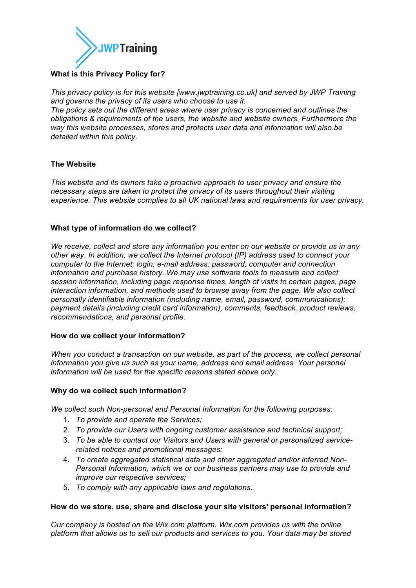

# **What is this Privacy Policy for?**

*This privacy policy is for this website [www.jwptraining.co.uk] and served by JWP Training and governs the privacy of its users who choose to use it. The policy sets out the different areas where user privacy is concerned and outlines the* 

*obligations & requirements of the users, the website and website owners. Furthermore the way this website processes, stores and protects user data and information will also be detailed within this policy.*

## **The Website**

*This website and its owners take a proactive approach to user privacy and ensure the necessary steps are taken to protect the privacy of its users throughout their visiting experience. This website complies to all UK national laws and requirements for user privacy.*

## **What type of information do we collect?**

*We receive, collect and store any information you enter on our website or provide us in any other way. In addition, we collect the Internet protocol (IP) address used to connect your computer to the Internet; login; e-mail address; password; computer and connection information and purchase history. We may use software tools to measure and collect session information, including page response times, length of visits to certain pages, page interaction information, and methods used to browse away from the page. We also collect personally identifiable information (including name, email, password, communications); payment details (including credit card information), comments, feedback, product reviews, recommendations, and personal profile.*

### **How do we collect your information?**

*When you conduct a transaction on our website, as part of the process, we collect personal information you give us such as your name, address and email address. Your personal information will be used for the specific reasons stated above only.*

### **Why do we collect such information?**

*We collect such Non-personal and Personal Information for the following purposes:*

- 1. *To provide and operate the Services;*
- 2. *To provide our Users with ongoing customer assistance and technical support;*
- 3. *To be able to contact our Visitors and Users with general or personalized servicerelated notices and promotional messages;*
- 4. *To create aggregated statistical data and other aggregated and/or inferred Non-Personal Information, which we or our business partners may use to provide and improve our respective services;*
- 5. *To comply with any applicable laws and regulations.*

### **How do we store, use, share and disclose your site visitors' personal information?**

*Our company is hosted on the Wix.com platform. Wix.com provides us with the online platform that allows us to sell our products and services to you. Your data may be stored*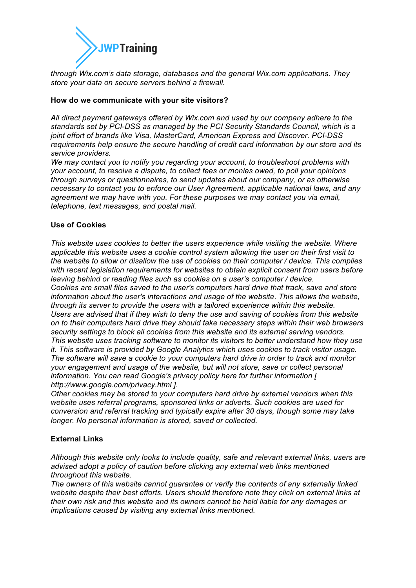

*through Wix.com's data storage, databases and the general Wix.com applications. They store your data on secure servers behind a firewall.*

### **How do we communicate with your site visitors?**

*All direct payment gateways offered by Wix.com and used by our company adhere to the standards set by PCI-DSS as managed by the PCI Security Standards Council, which is a joint effort of brands like Visa, MasterCard, American Express and Discover. PCI-DSS requirements help ensure the secure handling of credit card information by our store and its service providers.*

*We may contact you to notify you regarding your account, to troubleshoot problems with your account, to resolve a dispute, to collect fees or monies owed, to poll your opinions through surveys or questionnaires, to send updates about our company, or as otherwise necessary to contact you to enforce our User Agreement, applicable national laws, and any agreement we may have with you. For these purposes we may contact you via email, telephone, text messages, and postal mail.*

## **Use of Cookies**

*This website uses cookies to better the users experience while visiting the website. Where applicable this website uses a cookie control system allowing the user on their first visit to the website to allow or disallow the use of cookies on their computer / device. This complies with recent legislation requirements for websites to obtain explicit consent from users before leaving behind or reading files such as cookies on a user's computer / device. Cookies are small files saved to the user's computers hard drive that track, save and store information about the user's interactions and usage of the website. This allows the website, through its server to provide the users with a tailored experience within this website. Users are advised that if they wish to deny the use and saving of cookies from this website on to their computers hard drive they should take necessary steps within their web browsers security settings to block all cookies from this website and its external serving vendors. This website uses tracking software to monitor its visitors to better understand how they use it. This software is provided by Google Analytics which uses cookies to track visitor usage. The software will save a cookie to your computers hard drive in order to track and monitor your engagement and usage of the website, but will not store, save or collect personal information. You can read Google's privacy policy here for further information [ http://www.google.com/privacy.html ].*

*Other cookies may be stored to your computers hard drive by external vendors when this website uses referral programs, sponsored links or adverts. Such cookies are used for conversion and referral tracking and typically expire after 30 days, though some may take longer. No personal information is stored, saved or collected.*

## **External Links**

*Although this website only looks to include quality, safe and relevant external links, users are advised adopt a policy of caution before clicking any external web links mentioned throughout this website.*

*The owners of this website cannot guarantee or verify the contents of any externally linked website despite their best efforts. Users should therefore note they click on external links at their own risk and this website and its owners cannot be held liable for any damages or implications caused by visiting any external links mentioned.*